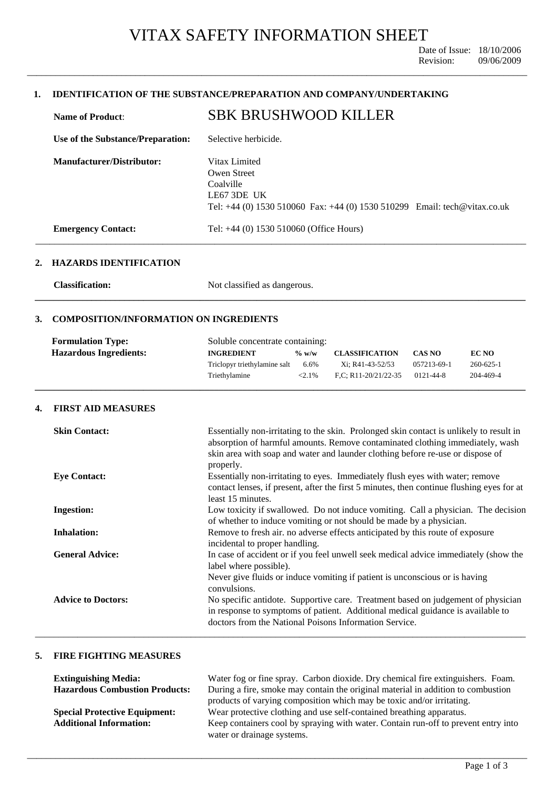\_\_\_\_\_\_\_\_\_\_\_\_\_\_\_\_\_\_\_\_\_\_\_\_\_\_\_\_\_\_\_\_\_\_\_\_\_\_\_\_\_\_\_\_\_\_\_\_\_\_\_\_\_\_\_\_\_\_\_\_\_\_\_\_\_\_\_\_\_\_\_\_\_\_\_\_\_\_\_\_\_\_\_\_\_\_\_\_\_\_\_\_\_\_\_\_\_\_\_\_\_\_\_\_\_\_

# **1. IDENTIFICATION OF THE SUBSTANCE/PREPARATION AND COMPANY/UNDERTAKING**

| <b>Name of Product:</b>           | <b>SBK BRUSHWOOD KILLER</b>                                                                                                               |
|-----------------------------------|-------------------------------------------------------------------------------------------------------------------------------------------|
| Use of the Substance/Preparation: | Selective herbicide.                                                                                                                      |
| <b>Manufacturer/Distributor:</b>  | Vitax Limited<br>Owen Street<br>Coalville<br>LE67 3DE UK<br>Tel: $+44$ (0) 1530 510060 Fax: $+44$ (0) 1530 510299 Email: tech@vitax.co.uk |
| <b>Emergency Contact:</b>         | Tel: +44 (0) 1530 510060 (Office Hours)                                                                                                   |

### **2. HAZARDS IDENTIFICATION**

**Classification:** Not classified as dangerous.

# **3. COMPOSITION/INFORMATION ON INGREDIENTS**

| <b>Formulation Type:</b>      | Soluble concentrate containing: |           |                        |                 |                 |
|-------------------------------|---------------------------------|-----------|------------------------|-----------------|-----------------|
| <b>Hazardous Ingredients:</b> | <b>INGREDIENT</b>               | $\%$ w/w  | <b>CLASSIFICATION</b>  | <b>CAS NO</b>   | <b>EC NO</b>    |
|                               | Triclopyr triethylamine salt    | 6.6%      | Xi; R41-43-52/53       | 057213-69-1     | $260 - 625 - 1$ |
|                               | Triethylamine                   | $< 2.1\%$ | $F.C. R11-20/21/22-35$ | $0121 - 44 - 8$ | 204-469-4       |
|                               |                                 |           |                        |                 |                 |

**\_\_\_\_\_\_\_\_\_\_\_\_\_\_\_\_\_\_\_\_\_\_\_\_\_\_\_\_\_\_\_\_\_\_\_\_\_\_\_\_\_\_\_\_\_\_\_\_\_\_\_\_\_\_\_\_\_\_\_\_\_\_\_\_\_\_\_\_\_\_\_\_\_\_\_\_\_\_\_\_\_\_\_\_\_\_\_\_\_\_\_\_\_\_\_\_\_\_\_\_\_\_\_\_** 

# **4. FIRST AID MEASURES**

| <b>Skin Contact:</b>      | Essentially non-irritating to the skin. Prolonged skin contact is unlikely to result in<br>absorption of harmful amounts. Remove contaminated clothing immediately, wash<br>skin area with soap and water and launder clothing before re-use or dispose of<br>properly. |
|---------------------------|-------------------------------------------------------------------------------------------------------------------------------------------------------------------------------------------------------------------------------------------------------------------------|
| <b>Eye Contact:</b>       | Essentially non-irritating to eyes. Immediately flush eyes with water; remove<br>contact lenses, if present, after the first 5 minutes, then continue flushing eyes for at<br>least 15 minutes.                                                                         |
| <b>Ingestion:</b>         | Low toxicity if swallowed. Do not induce vomiting. Call a physician. The decision<br>of whether to induce vomiting or not should be made by a physician.                                                                                                                |
| <b>Inhalation:</b>        | Remove to fresh air. no adverse effects anticipated by this route of exposure<br>incidental to proper handling.                                                                                                                                                         |
| <b>General Advice:</b>    | In case of accident or if you feel unwell seek medical advice immediately (show the<br>label where possible).                                                                                                                                                           |
|                           | Never give fluids or induce vomiting if patient is unconscious or is having<br>convulsions.                                                                                                                                                                             |
| <b>Advice to Doctors:</b> | No specific antidote. Supportive care. Treatment based on judgement of physician<br>in response to symptoms of patient. Additional medical guidance is available to<br>doctors from the National Poisons Information Service.                                           |

## **5. FIRE FIGHTING MEASURES**

| <b>Extinguishing Media:</b>           | Water fog or fine spray. Carbon dioxide. Dry chemical fire extinguishers. Foam.    |  |
|---------------------------------------|------------------------------------------------------------------------------------|--|
| <b>Hazardous Combustion Products:</b> | During a fire, smoke may contain the original material in addition to combustion   |  |
|                                       | products of varying composition which may be toxic and/or irritating.              |  |
| <b>Special Protective Equipment:</b>  | Wear protective clothing and use self-contained breathing apparatus.               |  |
| <b>Additional Information:</b>        | Keep containers cool by spraying with water. Contain run-off to prevent entry into |  |
|                                       | water or drainage systems.                                                         |  |

\_\_\_\_\_\_\_\_\_\_\_\_\_\_\_\_\_\_\_\_\_\_\_\_\_\_\_\_\_\_\_\_\_\_\_\_\_\_\_\_\_\_\_\_\_\_\_\_\_\_\_\_\_\_\_\_\_\_\_\_\_\_\_\_\_\_\_\_\_\_\_\_\_\_\_\_\_\_\_\_\_\_\_\_\_\_\_\_\_\_\_\_\_\_\_\_\_\_\_\_\_\_\_\_\_\_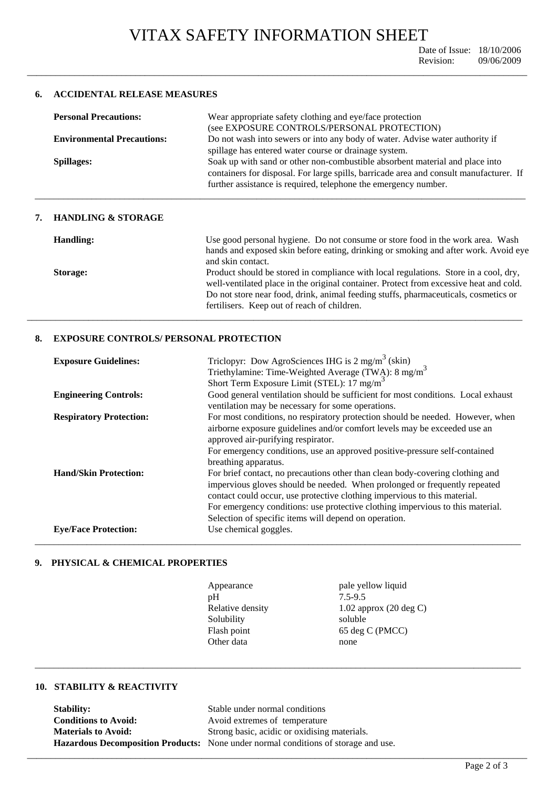\_\_\_\_\_\_\_\_\_\_\_\_\_\_\_\_\_\_\_\_\_\_\_\_\_\_\_\_\_\_\_\_\_\_\_\_\_\_\_\_\_\_\_\_\_\_\_\_\_\_\_\_\_\_\_\_\_\_\_\_\_\_\_\_\_\_\_\_\_\_\_\_\_\_\_\_\_\_\_\_\_\_\_\_\_\_\_\_\_\_\_\_\_\_\_\_\_\_\_\_\_\_\_\_\_\_

## **6. ACCIDENTAL RELEASE MEASURES**

| <b>Personal Precautions:</b>      | Wear appropriate safety clothing and eye/face protection<br>(see EXPOSURE CONTROLS/PERSONAL PROTECTION) |  |
|-----------------------------------|---------------------------------------------------------------------------------------------------------|--|
| <b>Environmental Precautions:</b> | Do not wash into sewers or into any body of water. Advise water authority if                            |  |
|                                   | spillage has entered water course or drainage system.                                                   |  |
| <b>Spillages:</b>                 | Soak up with sand or other non-combustible absorbent material and place into                            |  |
|                                   | containers for disposal. For large spills, barricade area and consult manufacturer. If                  |  |
|                                   | further assistance is required, telephone the emergency number.                                         |  |
|                                   |                                                                                                         |  |

### **7. HANDLING & STORAGE**

| Handling: | Use good personal hygiene. Do not consume or store food in the work area. Wash<br>hands and exposed skin before eating, drinking or smoking and after work. Avoid eye<br>and skin contact.                                                                                                                           |
|-----------|----------------------------------------------------------------------------------------------------------------------------------------------------------------------------------------------------------------------------------------------------------------------------------------------------------------------|
| Storage:  | Product should be stored in compliance with local regulations. Store in a cool, dry,<br>well-ventilated place in the original container. Protect from excessive heat and cold.<br>Do not store near food, drink, animal feeding stuffs, pharmaceuticals, cosmetics or<br>fertilisers. Keep out of reach of children. |

## **8. EXPOSURE CONTROLS/ PERSONAL PROTECTION**

| <b>Exposure Guidelines:</b>    | Triclopyr: Dow AgroSciences IHG is 2 mg/m <sup>3</sup> (skin)<br>Triethylamine: Time-Weighted Average (TWA): 8 mg/m <sup>3</sup><br>Short Term Exposure Limit (STEL): 17 mg/m <sup>3</sup> |
|--------------------------------|--------------------------------------------------------------------------------------------------------------------------------------------------------------------------------------------|
|                                |                                                                                                                                                                                            |
|                                |                                                                                                                                                                                            |
| <b>Engineering Controls:</b>   | Good general ventilation should be sufficient for most conditions. Local exhaust                                                                                                           |
|                                | ventilation may be necessary for some operations.                                                                                                                                          |
| <b>Respiratory Protection:</b> | For most conditions, no respiratory protection should be needed. However, when                                                                                                             |
|                                | airborne exposure guidelines and/or comfort levels may be exceeded use an                                                                                                                  |
|                                | approved air-purifying respirator.                                                                                                                                                         |
|                                | For emergency conditions, use an approved positive-pressure self-contained                                                                                                                 |
|                                | breathing apparatus.                                                                                                                                                                       |
| <b>Hand/Skin Protection:</b>   | For brief contact, no precautions other than clean body-covering clothing and                                                                                                              |
|                                | impervious gloves should be needed. When prolonged or frequently repeated                                                                                                                  |
|                                | contact could occur, use protective clothing impervious to this material.                                                                                                                  |
|                                | For emergency conditions: use protective clothing impervious to this material.                                                                                                             |
|                                | Selection of specific items will depend on operation.                                                                                                                                      |
| <b>Eye/Face Protection:</b>    | Use chemical goggles.                                                                                                                                                                      |
|                                |                                                                                                                                                                                            |

# **9. PHYSICAL & CHEMICAL PROPERTIES**

| Appearance       | pale yellow liquid                |
|------------------|-----------------------------------|
| pH               | $7.5 - 9.5$                       |
| Relative density | 1.02 approx $(20 \text{ deg } C)$ |
| Solubility       | soluble                           |
| Flash point      | 65 deg C (PMCC)                   |
| Other data       | none                              |
|                  |                                   |

\_\_\_\_\_\_\_\_\_\_\_\_\_\_\_\_\_\_\_\_\_\_\_\_\_\_\_\_\_\_\_\_\_\_\_\_\_\_\_\_\_\_\_\_\_\_\_\_\_\_\_\_\_\_\_\_\_\_\_\_\_\_\_\_\_\_\_\_\_\_\_\_\_\_\_\_\_\_\_\_\_\_\_\_\_\_\_\_\_\_\_\_\_\_\_\_\_\_\_\_\_\_\_\_\_\_

\_\_\_\_\_\_\_\_\_\_\_\_\_\_\_\_\_\_\_\_\_\_\_\_\_\_\_\_\_\_\_\_\_\_\_\_\_\_\_\_\_\_\_\_\_\_\_\_\_\_\_\_\_\_\_\_\_\_\_\_\_\_\_\_\_\_\_\_\_\_\_\_\_\_\_\_\_\_\_\_\_\_\_\_\_\_\_\_\_\_\_\_\_\_\_\_\_\_\_\_\_\_\_

# **10. STABILITY & REACTIVITY**

| <b>Stability:</b>           | Stable under normal conditions                                                            |
|-----------------------------|-------------------------------------------------------------------------------------------|
| <b>Conditions to Avoid:</b> | Avoid extremes of temperature                                                             |
| <b>Materials to Avoid:</b>  | Strong basic, acidic or oxidising materials.                                              |
|                             | <b>Hazardous Decomposition Products:</b> None under normal conditions of storage and use. |